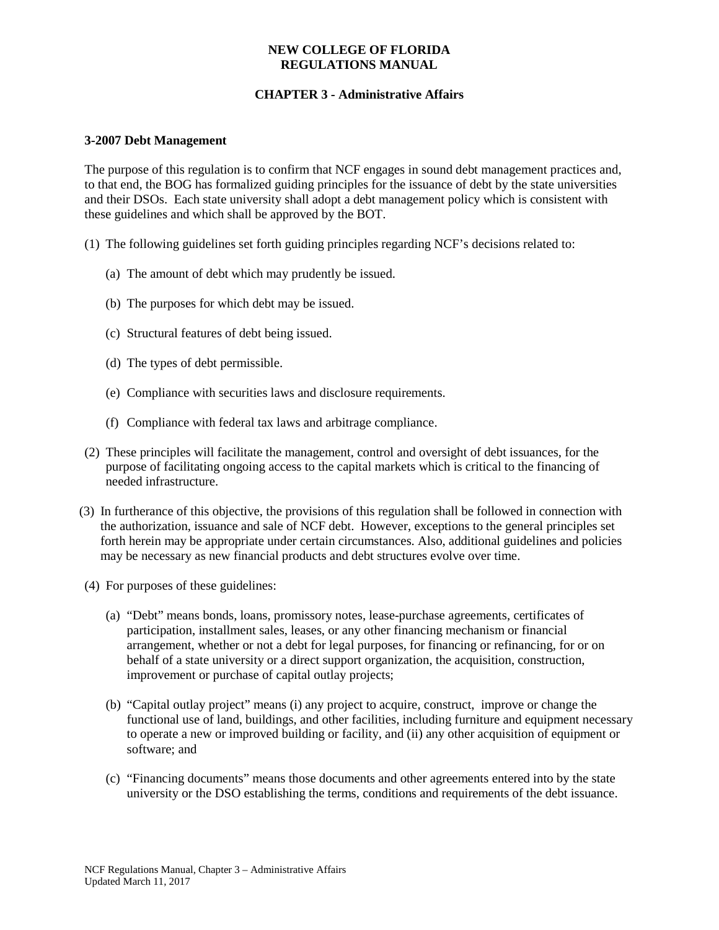# **CHAPTER 3 - Administrative Affairs**

#### **3-2007 Debt Management**

The purpose of this regulation is to confirm that NCF engages in sound debt management practices and, to that end, the BOG has formalized guiding principles for the issuance of debt by the state universities and their DSOs. Each state university shall adopt a debt management policy which is consistent with these guidelines and which shall be approved by the BOT.

- (1) The following guidelines set forth guiding principles regarding NCF's decisions related to:
	- (a) The amount of debt which may prudently be issued.
	- (b) The purposes for which debt may be issued.
	- (c) Structural features of debt being issued.
	- (d) The types of debt permissible.
	- (e) Compliance with securities laws and disclosure requirements.
	- (f) Compliance with federal tax laws and arbitrage compliance.
- (2) These principles will facilitate the management, control and oversight of debt issuances, for the purpose of facilitating ongoing access to the capital markets which is critical to the financing of needed infrastructure.
- (3) In furtherance of this objective, the provisions of this regulation shall be followed in connection with the authorization, issuance and sale of NCF debt. However, exceptions to the general principles set forth herein may be appropriate under certain circumstances. Also, additional guidelines and policies may be necessary as new financial products and debt structures evolve over time.
- (4) For purposes of these guidelines:
	- (a) "Debt" means bonds, loans, promissory notes, lease-purchase agreements, certificates of participation, installment sales, leases, or any other financing mechanism or financial arrangement, whether or not a debt for legal purposes, for financing or refinancing, for or on behalf of a state university or a direct support organization, the acquisition, construction, improvement or purchase of capital outlay projects;
	- (b) "Capital outlay project" means (i) any project to acquire, construct, improve or change the functional use of land, buildings, and other facilities, including furniture and equipment necessary to operate a new or improved building or facility, and (ii) any other acquisition of equipment or software; and
	- (c) "Financing documents" means those documents and other agreements entered into by the state university or the DSO establishing the terms, conditions and requirements of the debt issuance.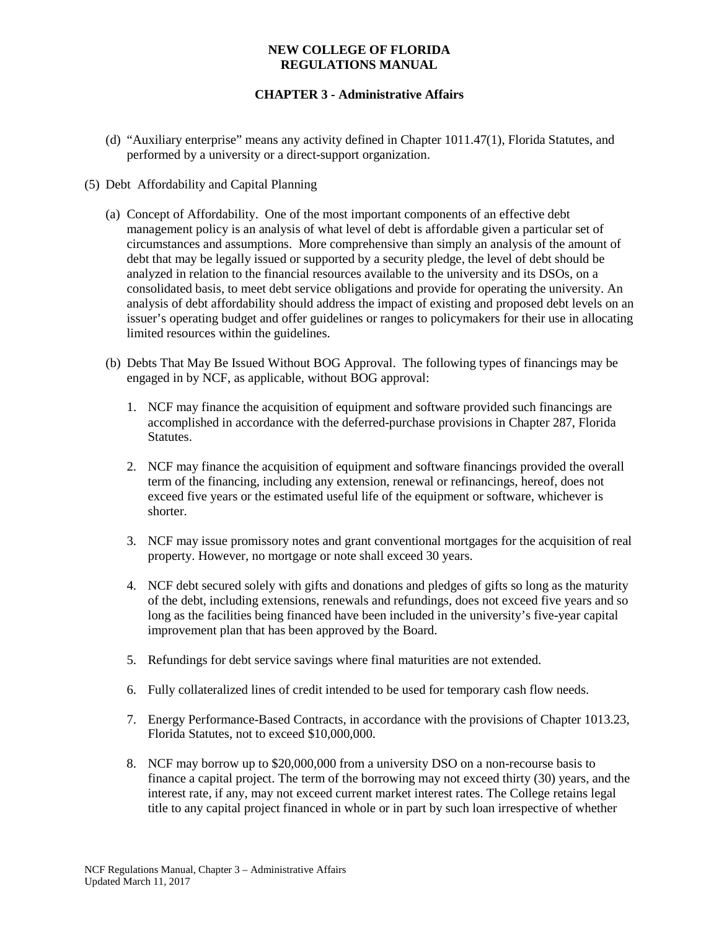# **CHAPTER 3 - Administrative Affairs**

(d) "Auxiliary enterprise" means any activity defined in Chapter 1011.47(1), Florida Statutes, and performed by a university or a direct-support organization.

### (5) Debt Affordability and Capital Planning

- (a) Concept of Affordability. One of the most important components of an effective debt management policy is an analysis of what level of debt is affordable given a particular set of circumstances and assumptions. More comprehensive than simply an analysis of the amount of debt that may be legally issued or supported by a security pledge, the level of debt should be analyzed in relation to the financial resources available to the university and its DSOs, on a consolidated basis, to meet debt service obligations and provide for operating the university. An analysis of debt affordability should address the impact of existing and proposed debt levels on an issuer's operating budget and offer guidelines or ranges to policymakers for their use in allocating limited resources within the guidelines.
- (b) Debts That May Be Issued Without BOG Approval. The following types of financings may be engaged in by NCF, as applicable, without BOG approval:
	- 1. NCF may finance the acquisition of equipment and software provided such financings are accomplished in accordance with the deferred-purchase provisions in Chapter 287, Florida Statutes.
	- 2. NCF may finance the acquisition of equipment and software financings provided the overall term of the financing, including any extension, renewal or refinancings, hereof, does not exceed five years or the estimated useful life of the equipment or software, whichever is shorter.
	- 3. NCF may issue promissory notes and grant conventional mortgages for the acquisition of real property. However, no mortgage or note shall exceed 30 years.
	- 4. NCF debt secured solely with gifts and donations and pledges of gifts so long as the maturity of the debt, including extensions, renewals and refundings, does not exceed five years and so long as the facilities being financed have been included in the university's five-year capital improvement plan that has been approved by the Board.
	- 5. Refundings for debt service savings where final maturities are not extended.
	- 6. Fully collateralized lines of credit intended to be used for temporary cash flow needs.
	- 7. Energy Performance-Based Contracts, in accordance with the provisions of Chapter 1013.23, Florida Statutes, not to exceed \$10,000,000.
	- 8. NCF may borrow up to \$20,000,000 from a university DSO on a non-recourse basis to finance a capital project. The term of the borrowing may not exceed thirty (30) years, and the interest rate, if any, may not exceed current market interest rates. The College retains legal title to any capital project financed in whole or in part by such loan irrespective of whether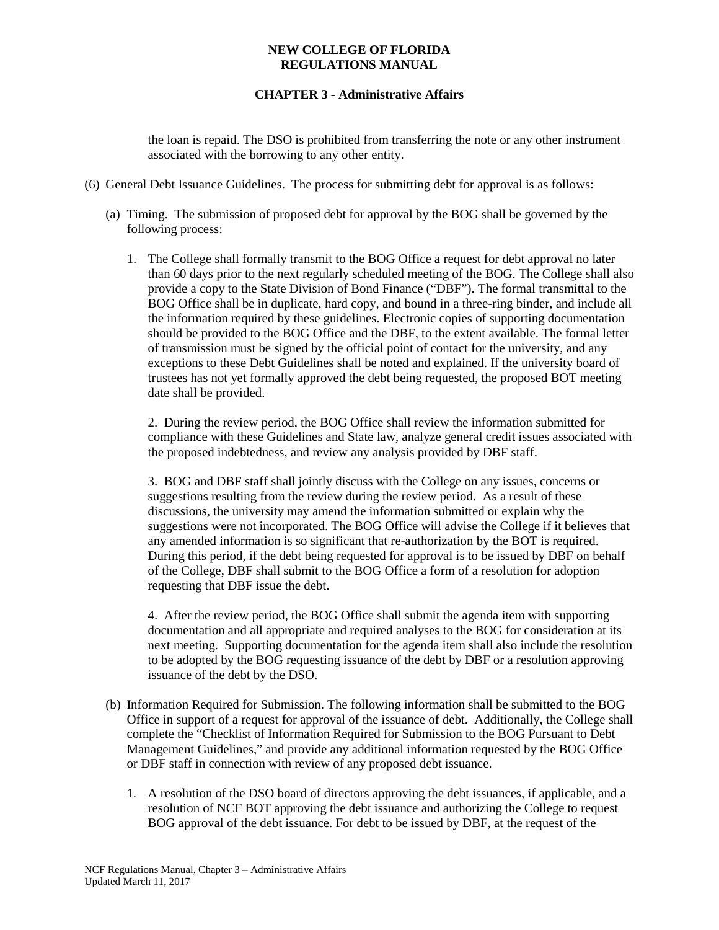# **CHAPTER 3 - Administrative Affairs**

the loan is repaid. The DSO is prohibited from transferring the note or any other instrument associated with the borrowing to any other entity.

- (6) General Debt Issuance Guidelines. The process for submitting debt for approval is as follows:
	- (a) Timing. The submission of proposed debt for approval by the BOG shall be governed by the following process:
		- 1. The College shall formally transmit to the BOG Office a request for debt approval no later than 60 days prior to the next regularly scheduled meeting of the BOG. The College shall also provide a copy to the State Division of Bond Finance ("DBF"). The formal transmittal to the BOG Office shall be in duplicate, hard copy, and bound in a three-ring binder, and include all the information required by these guidelines. Electronic copies of supporting documentation should be provided to the BOG Office and the DBF, to the extent available. The formal letter of transmission must be signed by the official point of contact for the university, and any exceptions to these Debt Guidelines shall be noted and explained. If the university board of trustees has not yet formally approved the debt being requested, the proposed BOT meeting date shall be provided.

2. During the review period, the BOG Office shall review the information submitted for compliance with these Guidelines and State law, analyze general credit issues associated with the proposed indebtedness, and review any analysis provided by DBF staff.

3. BOG and DBF staff shall jointly discuss with the College on any issues, concerns or suggestions resulting from the review during the review period. As a result of these discussions, the university may amend the information submitted or explain why the suggestions were not incorporated. The BOG Office will advise the College if it believes that any amended information is so significant that re-authorization by the BOT is required. During this period, if the debt being requested for approval is to be issued by DBF on behalf of the College, DBF shall submit to the BOG Office a form of a resolution for adoption requesting that DBF issue the debt.

4. After the review period, the BOG Office shall submit the agenda item with supporting documentation and all appropriate and required analyses to the BOG for consideration at its next meeting. Supporting documentation for the agenda item shall also include the resolution to be adopted by the BOG requesting issuance of the debt by DBF or a resolution approving issuance of the debt by the DSO.

- (b) Information Required for Submission. The following information shall be submitted to the BOG Office in support of a request for approval of the issuance of debt. Additionally, the College shall complete the "Checklist of Information Required for Submission to the BOG Pursuant to Debt Management Guidelines," and provide any additional information requested by the BOG Office or DBF staff in connection with review of any proposed debt issuance.
	- 1. A resolution of the DSO board of directors approving the debt issuances, if applicable, and a resolution of NCF BOT approving the debt issuance and authorizing the College to request BOG approval of the debt issuance. For debt to be issued by DBF, at the request of the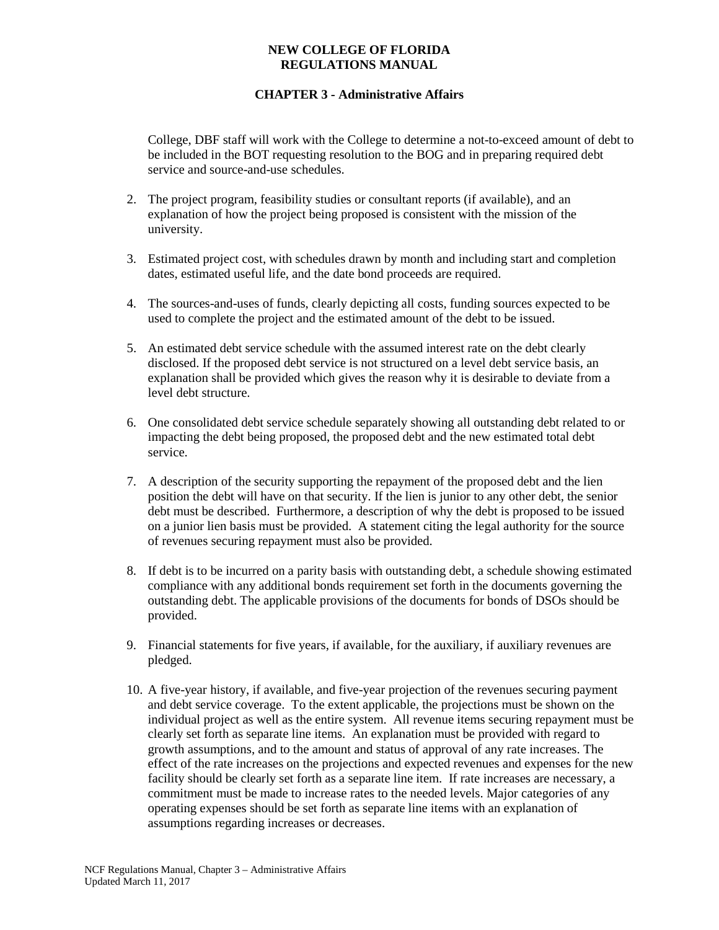# **CHAPTER 3 - Administrative Affairs**

College, DBF staff will work with the College to determine a not-to-exceed amount of debt to be included in the BOT requesting resolution to the BOG and in preparing required debt service and source-and-use schedules.

- 2. The project program, feasibility studies or consultant reports (if available), and an explanation of how the project being proposed is consistent with the mission of the university.
- 3. Estimated project cost, with schedules drawn by month and including start and completion dates, estimated useful life, and the date bond proceeds are required.
- 4. The sources-and-uses of funds, clearly depicting all costs, funding sources expected to be used to complete the project and the estimated amount of the debt to be issued.
- 5. An estimated debt service schedule with the assumed interest rate on the debt clearly disclosed. If the proposed debt service is not structured on a level debt service basis, an explanation shall be provided which gives the reason why it is desirable to deviate from a level debt structure.
- 6. One consolidated debt service schedule separately showing all outstanding debt related to or impacting the debt being proposed, the proposed debt and the new estimated total debt service.
- 7. A description of the security supporting the repayment of the proposed debt and the lien position the debt will have on that security. If the lien is junior to any other debt, the senior debt must be described. Furthermore, a description of why the debt is proposed to be issued on a junior lien basis must be provided. A statement citing the legal authority for the source of revenues securing repayment must also be provided.
- 8. If debt is to be incurred on a parity basis with outstanding debt, a schedule showing estimated compliance with any additional bonds requirement set forth in the documents governing the outstanding debt. The applicable provisions of the documents for bonds of DSOs should be provided.
- 9. Financial statements for five years, if available, for the auxiliary, if auxiliary revenues are pledged.
- 10. A five-year history, if available, and five-year projection of the revenues securing payment and debt service coverage. To the extent applicable, the projections must be shown on the individual project as well as the entire system. All revenue items securing repayment must be clearly set forth as separate line items. An explanation must be provided with regard to growth assumptions, and to the amount and status of approval of any rate increases. The effect of the rate increases on the projections and expected revenues and expenses for the new facility should be clearly set forth as a separate line item. If rate increases are necessary, a commitment must be made to increase rates to the needed levels. Major categories of any operating expenses should be set forth as separate line items with an explanation of assumptions regarding increases or decreases.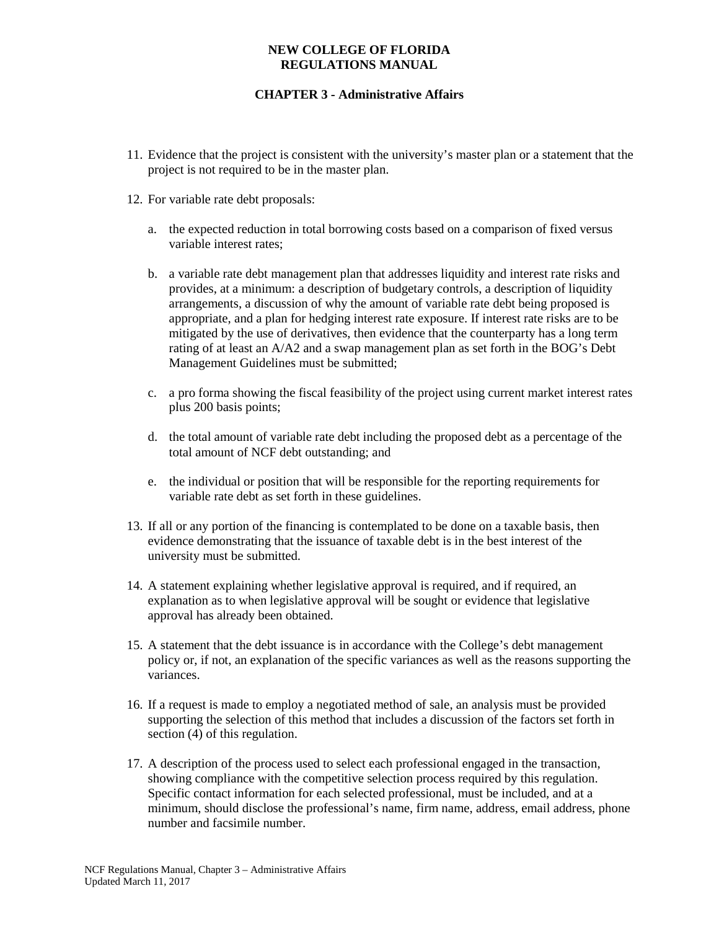- 11. Evidence that the project is consistent with the university's master plan or a statement that the project is not required to be in the master plan.
- 12. For variable rate debt proposals:
	- a. the expected reduction in total borrowing costs based on a comparison of fixed versus variable interest rates;
	- b. a variable rate debt management plan that addresses liquidity and interest rate risks and provides, at a minimum: a description of budgetary controls, a description of liquidity arrangements, a discussion of why the amount of variable rate debt being proposed is appropriate, and a plan for hedging interest rate exposure. If interest rate risks are to be mitigated by the use of derivatives, then evidence that the counterparty has a long term rating of at least an A/A2 and a swap management plan as set forth in the BOG's Debt Management Guidelines must be submitted;
	- c. a pro forma showing the fiscal feasibility of the project using current market interest rates plus 200 basis points;
	- d. the total amount of variable rate debt including the proposed debt as a percentage of the total amount of NCF debt outstanding; and
	- e. the individual or position that will be responsible for the reporting requirements for variable rate debt as set forth in these guidelines.
- 13. If all or any portion of the financing is contemplated to be done on a taxable basis, then evidence demonstrating that the issuance of taxable debt is in the best interest of the university must be submitted.
- 14. A statement explaining whether legislative approval is required, and if required, an explanation as to when legislative approval will be sought or evidence that legislative approval has already been obtained.
- 15. A statement that the debt issuance is in accordance with the College's debt management policy or, if not, an explanation of the specific variances as well as the reasons supporting the variances.
- 16. If a request is made to employ a negotiated method of sale, an analysis must be provided supporting the selection of this method that includes a discussion of the factors set forth in section (4) of this regulation.
- 17. A description of the process used to select each professional engaged in the transaction, showing compliance with the competitive selection process required by this regulation. Specific contact information for each selected professional, must be included, and at a minimum, should disclose the professional's name, firm name, address, email address, phone number and facsimile number.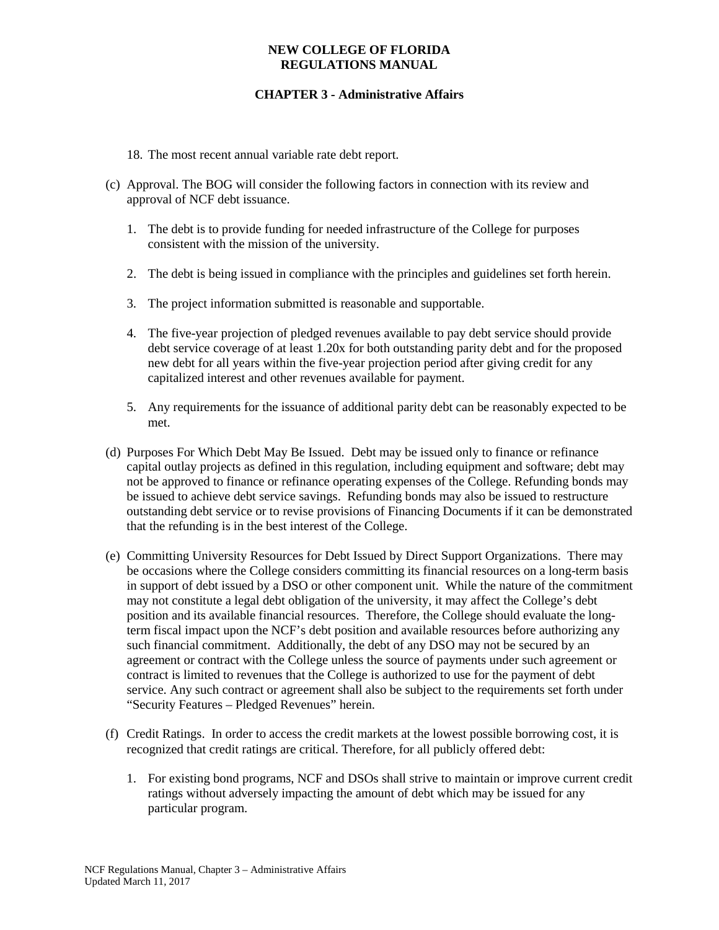- 18. The most recent annual variable rate debt report.
- (c) Approval. The BOG will consider the following factors in connection with its review and approval of NCF debt issuance.
	- 1. The debt is to provide funding for needed infrastructure of the College for purposes consistent with the mission of the university.
	- 2. The debt is being issued in compliance with the principles and guidelines set forth herein.
	- 3. The project information submitted is reasonable and supportable.
	- 4. The five-year projection of pledged revenues available to pay debt service should provide debt service coverage of at least 1.20x for both outstanding parity debt and for the proposed new debt for all years within the five-year projection period after giving credit for any capitalized interest and other revenues available for payment.
	- 5. Any requirements for the issuance of additional parity debt can be reasonably expected to be met.
- (d) Purposes For Which Debt May Be Issued. Debt may be issued only to finance or refinance capital outlay projects as defined in this regulation, including equipment and software; debt may not be approved to finance or refinance operating expenses of the College. Refunding bonds may be issued to achieve debt service savings. Refunding bonds may also be issued to restructure outstanding debt service or to revise provisions of Financing Documents if it can be demonstrated that the refunding is in the best interest of the College.
- (e) Committing University Resources for Debt Issued by Direct Support Organizations. There may be occasions where the College considers committing its financial resources on a long-term basis in support of debt issued by a DSO or other component unit. While the nature of the commitment may not constitute a legal debt obligation of the university, it may affect the College's debt position and its available financial resources. Therefore, the College should evaluate the longterm fiscal impact upon the NCF's debt position and available resources before authorizing any such financial commitment. Additionally, the debt of any DSO may not be secured by an agreement or contract with the College unless the source of payments under such agreement or contract is limited to revenues that the College is authorized to use for the payment of debt service. Any such contract or agreement shall also be subject to the requirements set forth under "Security Features – Pledged Revenues" herein.
- (f) Credit Ratings. In order to access the credit markets at the lowest possible borrowing cost, it is recognized that credit ratings are critical. Therefore, for all publicly offered debt:
	- 1. For existing bond programs, NCF and DSOs shall strive to maintain or improve current credit ratings without adversely impacting the amount of debt which may be issued for any particular program.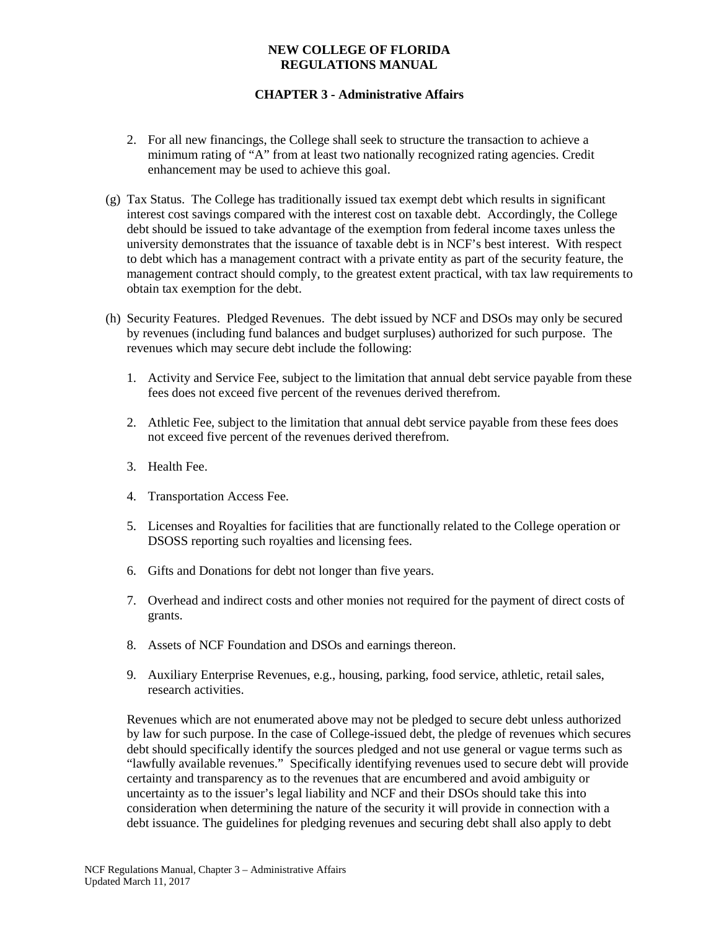# **CHAPTER 3 - Administrative Affairs**

- 2. For all new financings, the College shall seek to structure the transaction to achieve a minimum rating of "A" from at least two nationally recognized rating agencies. Credit enhancement may be used to achieve this goal.
- (g) Tax Status. The College has traditionally issued tax exempt debt which results in significant interest cost savings compared with the interest cost on taxable debt. Accordingly, the College debt should be issued to take advantage of the exemption from federal income taxes unless the university demonstrates that the issuance of taxable debt is in NCF's best interest. With respect to debt which has a management contract with a private entity as part of the security feature, the management contract should comply, to the greatest extent practical, with tax law requirements to obtain tax exemption for the debt.
- (h) Security Features. Pledged Revenues. The debt issued by NCF and DSOs may only be secured by revenues (including fund balances and budget surpluses) authorized for such purpose. The revenues which may secure debt include the following:
	- 1. Activity and Service Fee, subject to the limitation that annual debt service payable from these fees does not exceed five percent of the revenues derived therefrom.
	- 2. Athletic Fee, subject to the limitation that annual debt service payable from these fees does not exceed five percent of the revenues derived therefrom.
	- 3. Health Fee.
	- 4. Transportation Access Fee.
	- 5. Licenses and Royalties for facilities that are functionally related to the College operation or DSOSS reporting such royalties and licensing fees.
	- 6. Gifts and Donations for debt not longer than five years.
	- 7. Overhead and indirect costs and other monies not required for the payment of direct costs of grants.
	- 8. Assets of NCF Foundation and DSOs and earnings thereon.
	- 9. Auxiliary Enterprise Revenues, e.g., housing, parking, food service, athletic, retail sales, research activities.

Revenues which are not enumerated above may not be pledged to secure debt unless authorized by law for such purpose. In the case of College-issued debt, the pledge of revenues which secures debt should specifically identify the sources pledged and not use general or vague terms such as "lawfully available revenues." Specifically identifying revenues used to secure debt will provide certainty and transparency as to the revenues that are encumbered and avoid ambiguity or uncertainty as to the issuer's legal liability and NCF and their DSOs should take this into consideration when determining the nature of the security it will provide in connection with a debt issuance. The guidelines for pledging revenues and securing debt shall also apply to debt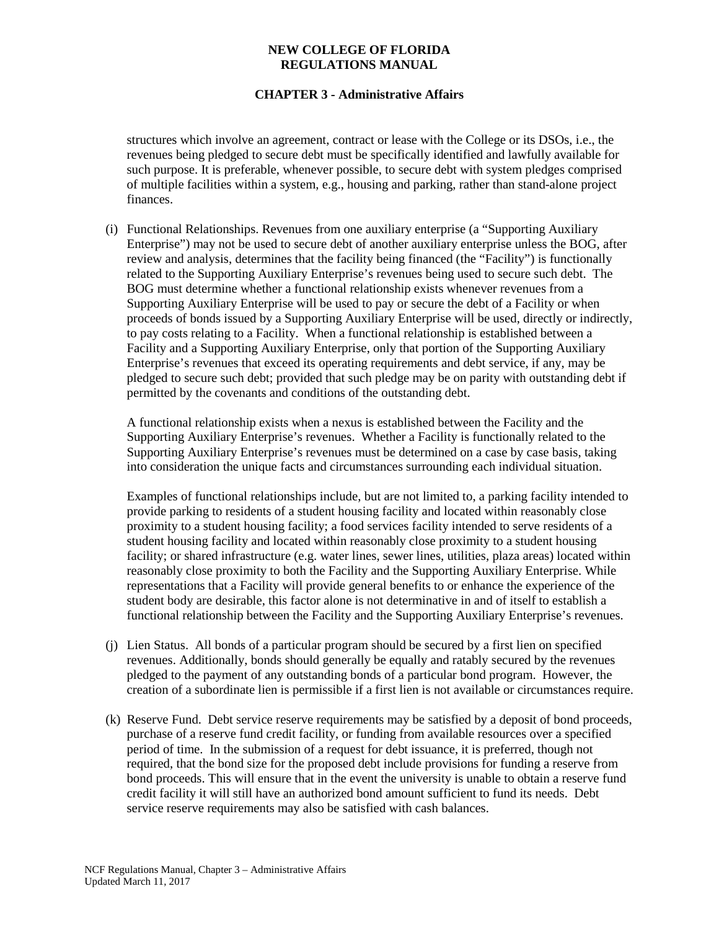# **CHAPTER 3 - Administrative Affairs**

structures which involve an agreement, contract or lease with the College or its DSOs, i.e., the revenues being pledged to secure debt must be specifically identified and lawfully available for such purpose. It is preferable, whenever possible, to secure debt with system pledges comprised of multiple facilities within a system, e.g., housing and parking, rather than stand-alone project finances.

(i) Functional Relationships. Revenues from one auxiliary enterprise (a "Supporting Auxiliary Enterprise") may not be used to secure debt of another auxiliary enterprise unless the BOG, after review and analysis, determines that the facility being financed (the "Facility") is functionally related to the Supporting Auxiliary Enterprise's revenues being used to secure such debt. The BOG must determine whether a functional relationship exists whenever revenues from a Supporting Auxiliary Enterprise will be used to pay or secure the debt of a Facility or when proceeds of bonds issued by a Supporting Auxiliary Enterprise will be used, directly or indirectly, to pay costs relating to a Facility. When a functional relationship is established between a Facility and a Supporting Auxiliary Enterprise, only that portion of the Supporting Auxiliary Enterprise's revenues that exceed its operating requirements and debt service, if any, may be pledged to secure such debt; provided that such pledge may be on parity with outstanding debt if permitted by the covenants and conditions of the outstanding debt.

A functional relationship exists when a nexus is established between the Facility and the Supporting Auxiliary Enterprise's revenues. Whether a Facility is functionally related to the Supporting Auxiliary Enterprise's revenues must be determined on a case by case basis, taking into consideration the unique facts and circumstances surrounding each individual situation.

Examples of functional relationships include, but are not limited to, a parking facility intended to provide parking to residents of a student housing facility and located within reasonably close proximity to a student housing facility; a food services facility intended to serve residents of a student housing facility and located within reasonably close proximity to a student housing facility; or shared infrastructure (e.g. water lines, sewer lines, utilities, plaza areas) located within reasonably close proximity to both the Facility and the Supporting Auxiliary Enterprise. While representations that a Facility will provide general benefits to or enhance the experience of the student body are desirable, this factor alone is not determinative in and of itself to establish a functional relationship between the Facility and the Supporting Auxiliary Enterprise's revenues.

- (j) Lien Status. All bonds of a particular program should be secured by a first lien on specified revenues. Additionally, bonds should generally be equally and ratably secured by the revenues pledged to the payment of any outstanding bonds of a particular bond program. However, the creation of a subordinate lien is permissible if a first lien is not available or circumstances require.
- (k) Reserve Fund. Debt service reserve requirements may be satisfied by a deposit of bond proceeds, purchase of a reserve fund credit facility, or funding from available resources over a specified period of time. In the submission of a request for debt issuance, it is preferred, though not required, that the bond size for the proposed debt include provisions for funding a reserve from bond proceeds. This will ensure that in the event the university is unable to obtain a reserve fund credit facility it will still have an authorized bond amount sufficient to fund its needs. Debt service reserve requirements may also be satisfied with cash balances.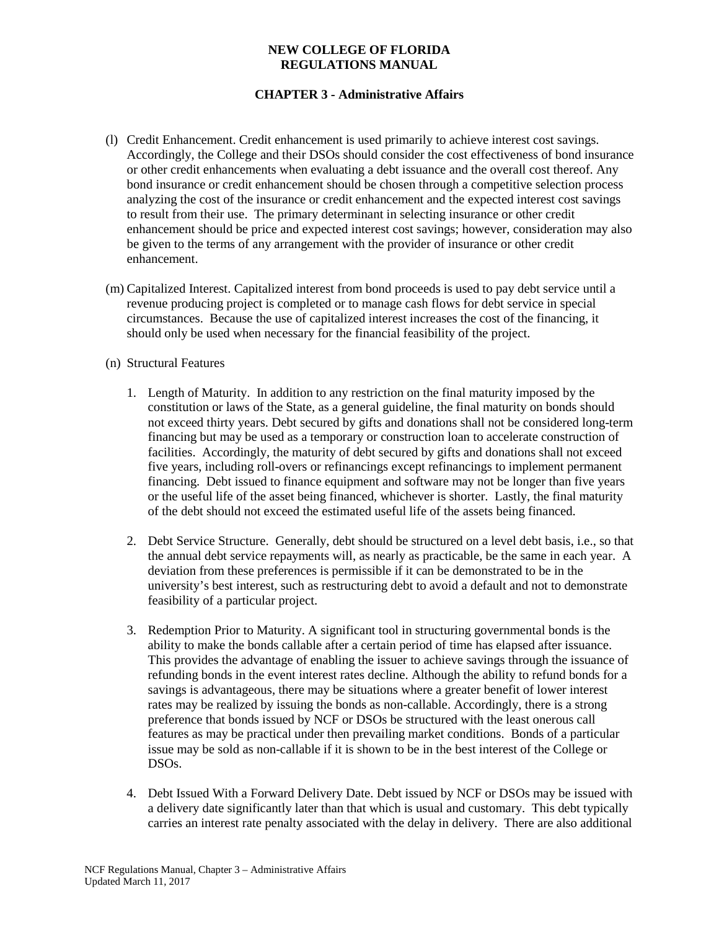- (l) Credit Enhancement. Credit enhancement is used primarily to achieve interest cost savings. Accordingly, the College and their DSOs should consider the cost effectiveness of bond insurance or other credit enhancements when evaluating a debt issuance and the overall cost thereof. Any bond insurance or credit enhancement should be chosen through a competitive selection process analyzing the cost of the insurance or credit enhancement and the expected interest cost savings to result from their use. The primary determinant in selecting insurance or other credit enhancement should be price and expected interest cost savings; however, consideration may also be given to the terms of any arrangement with the provider of insurance or other credit enhancement.
- (m) Capitalized Interest. Capitalized interest from bond proceeds is used to pay debt service until a revenue producing project is completed or to manage cash flows for debt service in special circumstances. Because the use of capitalized interest increases the cost of the financing, it should only be used when necessary for the financial feasibility of the project.
- (n) Structural Features
	- 1. Length of Maturity. In addition to any restriction on the final maturity imposed by the constitution or laws of the State, as a general guideline, the final maturity on bonds should not exceed thirty years. Debt secured by gifts and donations shall not be considered long-term financing but may be used as a temporary or construction loan to accelerate construction of facilities. Accordingly, the maturity of debt secured by gifts and donations shall not exceed five years, including roll-overs or refinancings except refinancings to implement permanent financing. Debt issued to finance equipment and software may not be longer than five years or the useful life of the asset being financed, whichever is shorter. Lastly, the final maturity of the debt should not exceed the estimated useful life of the assets being financed.
	- 2. Debt Service Structure. Generally, debt should be structured on a level debt basis, i.e., so that the annual debt service repayments will, as nearly as practicable, be the same in each year. A deviation from these preferences is permissible if it can be demonstrated to be in the university's best interest, such as restructuring debt to avoid a default and not to demonstrate feasibility of a particular project.
	- 3. Redemption Prior to Maturity. A significant tool in structuring governmental bonds is the ability to make the bonds callable after a certain period of time has elapsed after issuance. This provides the advantage of enabling the issuer to achieve savings through the issuance of refunding bonds in the event interest rates decline. Although the ability to refund bonds for a savings is advantageous, there may be situations where a greater benefit of lower interest rates may be realized by issuing the bonds as non-callable. Accordingly, there is a strong preference that bonds issued by NCF or DSOs be structured with the least onerous call features as may be practical under then prevailing market conditions. Bonds of a particular issue may be sold as non-callable if it is shown to be in the best interest of the College or DSOs.
	- 4. Debt Issued With a Forward Delivery Date. Debt issued by NCF or DSOs may be issued with a delivery date significantly later than that which is usual and customary. This debt typically carries an interest rate penalty associated with the delay in delivery. There are also additional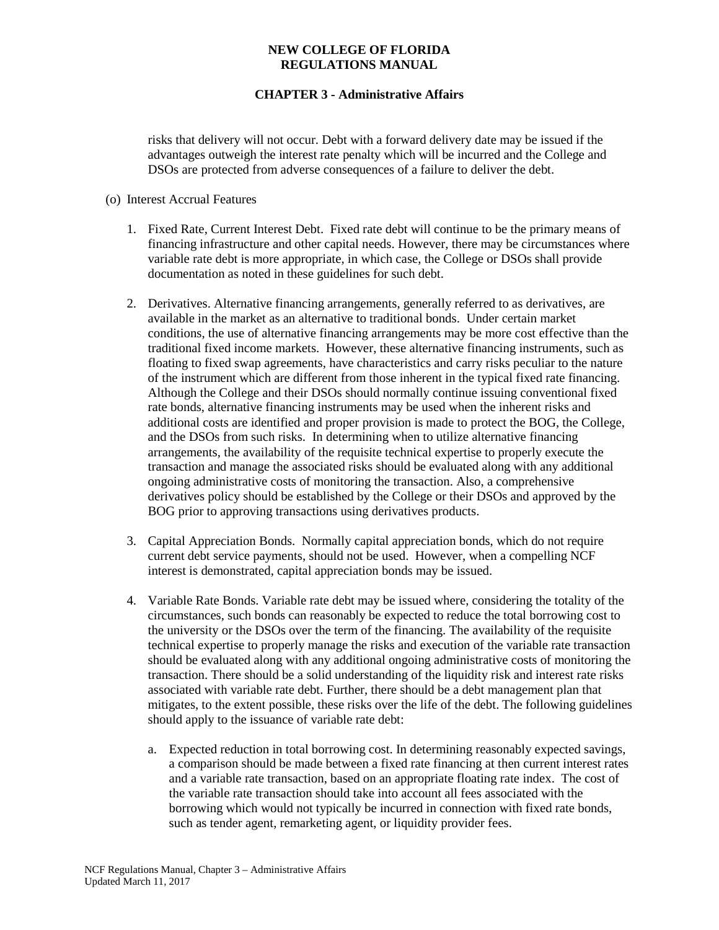# **CHAPTER 3 - Administrative Affairs**

risks that delivery will not occur. Debt with a forward delivery date may be issued if the advantages outweigh the interest rate penalty which will be incurred and the College and DSOs are protected from adverse consequences of a failure to deliver the debt.

### (o) Interest Accrual Features

- 1. Fixed Rate, Current Interest Debt. Fixed rate debt will continue to be the primary means of financing infrastructure and other capital needs. However, there may be circumstances where variable rate debt is more appropriate, in which case, the College or DSOs shall provide documentation as noted in these guidelines for such debt.
- 2. Derivatives. Alternative financing arrangements, generally referred to as derivatives, are available in the market as an alternative to traditional bonds. Under certain market conditions, the use of alternative financing arrangements may be more cost effective than the traditional fixed income markets. However, these alternative financing instruments, such as floating to fixed swap agreements, have characteristics and carry risks peculiar to the nature of the instrument which are different from those inherent in the typical fixed rate financing. Although the College and their DSOs should normally continue issuing conventional fixed rate bonds, alternative financing instruments may be used when the inherent risks and additional costs are identified and proper provision is made to protect the BOG, the College, and the DSOs from such risks. In determining when to utilize alternative financing arrangements, the availability of the requisite technical expertise to properly execute the transaction and manage the associated risks should be evaluated along with any additional ongoing administrative costs of monitoring the transaction. Also, a comprehensive derivatives policy should be established by the College or their DSOs and approved by the BOG prior to approving transactions using derivatives products.
- 3. Capital Appreciation Bonds. Normally capital appreciation bonds, which do not require current debt service payments, should not be used. However, when a compelling NCF interest is demonstrated, capital appreciation bonds may be issued.
- 4. Variable Rate Bonds. Variable rate debt may be issued where, considering the totality of the circumstances, such bonds can reasonably be expected to reduce the total borrowing cost to the university or the DSOs over the term of the financing. The availability of the requisite technical expertise to properly manage the risks and execution of the variable rate transaction should be evaluated along with any additional ongoing administrative costs of monitoring the transaction. There should be a solid understanding of the liquidity risk and interest rate risks associated with variable rate debt. Further, there should be a debt management plan that mitigates, to the extent possible, these risks over the life of the debt. The following guidelines should apply to the issuance of variable rate debt:
	- a. Expected reduction in total borrowing cost. In determining reasonably expected savings, a comparison should be made between a fixed rate financing at then current interest rates and a variable rate transaction, based on an appropriate floating rate index. The cost of the variable rate transaction should take into account all fees associated with the borrowing which would not typically be incurred in connection with fixed rate bonds, such as tender agent, remarketing agent, or liquidity provider fees.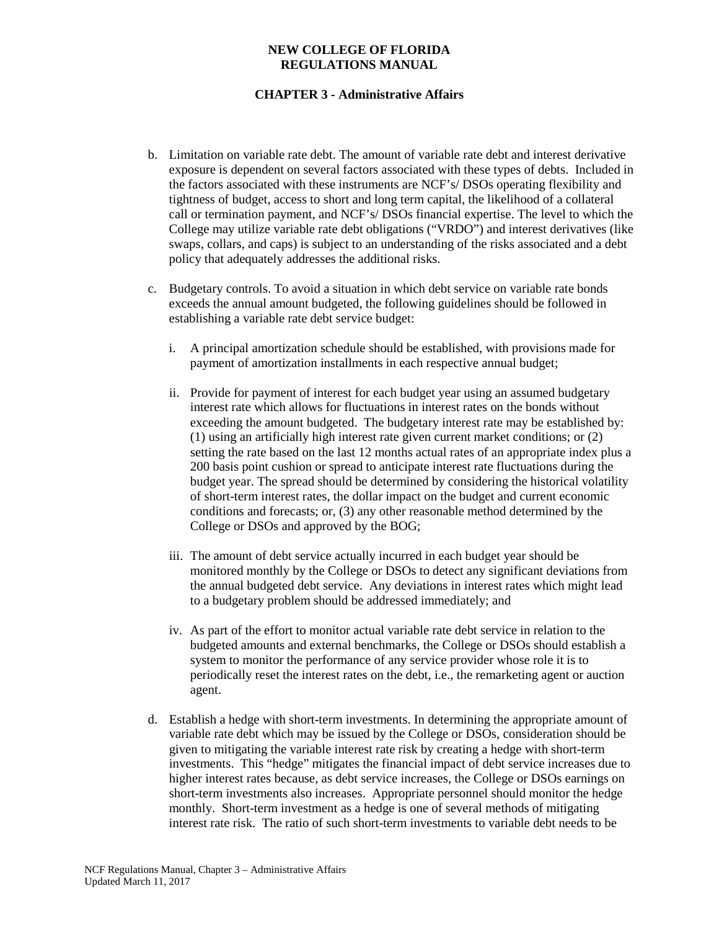- b. Limitation on variable rate debt. The amount of variable rate debt and interest derivative exposure is dependent on several factors associated with these types of debts. Included in the factors associated with these instruments are NCF's/ DSOs operating flexibility and tightness of budget, access to short and long term capital, the likelihood of a collateral call or termination payment, and NCF's/ DSOs financial expertise. The level to which the College may utilize variable rate debt obligations ("VRDO") and interest derivatives (like swaps, collars, and caps) is subject to an understanding of the risks associated and a debt policy that adequately addresses the additional risks.
- c. Budgetary controls. To avoid a situation in which debt service on variable rate bonds exceeds the annual amount budgeted, the following guidelines should be followed in establishing a variable rate debt service budget:
	- i. A principal amortization schedule should be established, with provisions made for payment of amortization installments in each respective annual budget;
	- ii. Provide for payment of interest for each budget year using an assumed budgetary interest rate which allows for fluctuations in interest rates on the bonds without exceeding the amount budgeted. The budgetary interest rate may be established by: (1) using an artificially high interest rate given current market conditions; or (2) setting the rate based on the last 12 months actual rates of an appropriate index plus a 200 basis point cushion or spread to anticipate interest rate fluctuations during the budget year. The spread should be determined by considering the historical volatility of short-term interest rates, the dollar impact on the budget and current economic conditions and forecasts; or, (3) any other reasonable method determined by the College or DSOs and approved by the BOG;
	- iii. The amount of debt service actually incurred in each budget year should be monitored monthly by the College or DSOs to detect any significant deviations from the annual budgeted debt service. Any deviations in interest rates which might lead to a budgetary problem should be addressed immediately; and
	- iv. As part of the effort to monitor actual variable rate debt service in relation to the budgeted amounts and external benchmarks, the College or DSOs should establish a system to monitor the performance of any service provider whose role it is to periodically reset the interest rates on the debt, i.e., the remarketing agent or auction agent.
- d. Establish a hedge with short-term investments. In determining the appropriate amount of variable rate debt which may be issued by the College or DSOs, consideration should be given to mitigating the variable interest rate risk by creating a hedge with short-term investments. This "hedge" mitigates the financial impact of debt service increases due to higher interest rates because, as debt service increases, the College or DSOs earnings on short-term investments also increases. Appropriate personnel should monitor the hedge monthly. Short-term investment as a hedge is one of several methods of mitigating interest rate risk. The ratio of such short-term investments to variable debt needs to be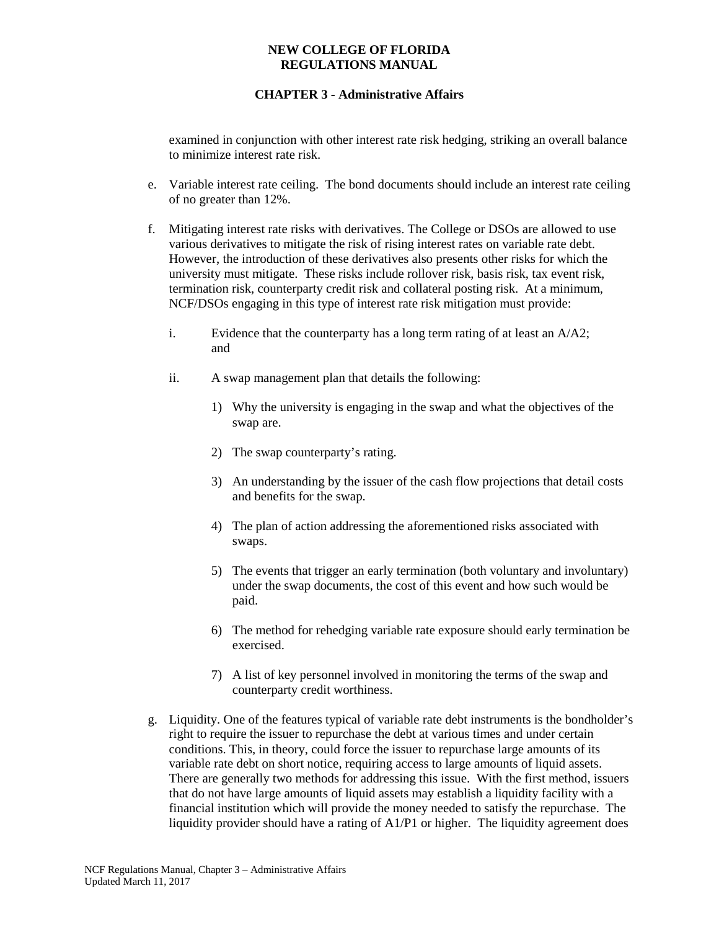# **CHAPTER 3 - Administrative Affairs**

examined in conjunction with other interest rate risk hedging, striking an overall balance to minimize interest rate risk.

- e. Variable interest rate ceiling. The bond documents should include an interest rate ceiling of no greater than 12%.
- f. Mitigating interest rate risks with derivatives. The College or DSOs are allowed to use various derivatives to mitigate the risk of rising interest rates on variable rate debt. However, the introduction of these derivatives also presents other risks for which the university must mitigate. These risks include rollover risk, basis risk, tax event risk, termination risk, counterparty credit risk and collateral posting risk. At a minimum, NCF/DSOs engaging in this type of interest rate risk mitigation must provide:
	- i. Evidence that the counterparty has a long term rating of at least an A/A2; and
	- ii. A swap management plan that details the following:
		- 1) Why the university is engaging in the swap and what the objectives of the swap are.
		- 2) The swap counterparty's rating.
		- 3) An understanding by the issuer of the cash flow projections that detail costs and benefits for the swap.
		- 4) The plan of action addressing the aforementioned risks associated with swaps.
		- 5) The events that trigger an early termination (both voluntary and involuntary) under the swap documents, the cost of this event and how such would be paid.
		- 6) The method for rehedging variable rate exposure should early termination be exercised.
		- 7) A list of key personnel involved in monitoring the terms of the swap and counterparty credit worthiness.
- g. Liquidity. One of the features typical of variable rate debt instruments is the bondholder's right to require the issuer to repurchase the debt at various times and under certain conditions. This, in theory, could force the issuer to repurchase large amounts of its variable rate debt on short notice, requiring access to large amounts of liquid assets. There are generally two methods for addressing this issue. With the first method, issuers that do not have large amounts of liquid assets may establish a liquidity facility with a financial institution which will provide the money needed to satisfy the repurchase. The liquidity provider should have a rating of A1/P1 or higher. The liquidity agreement does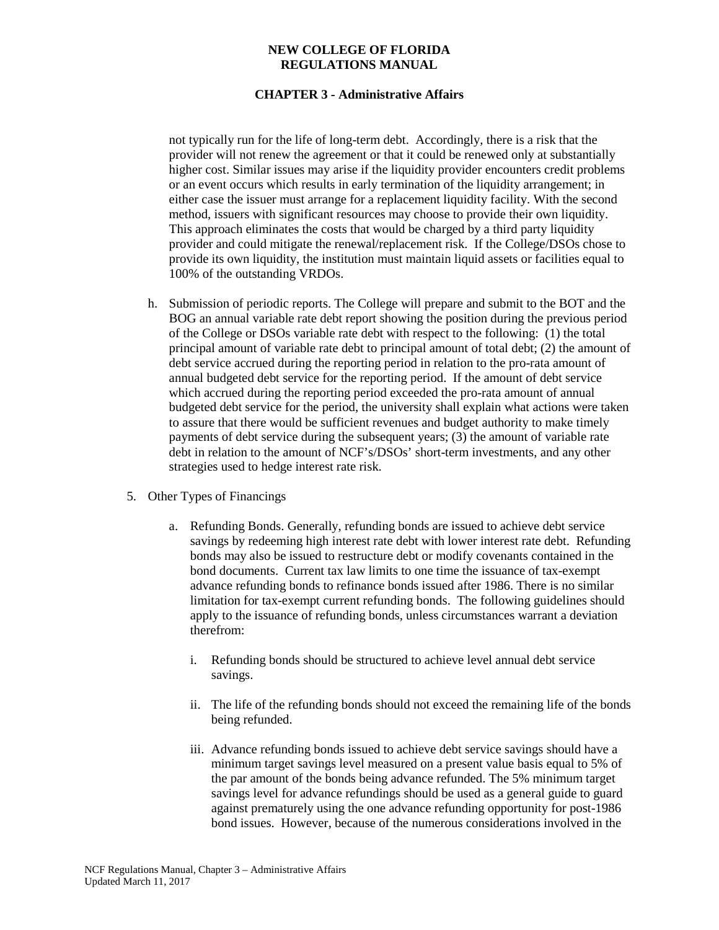### **CHAPTER 3 - Administrative Affairs**

not typically run for the life of long-term debt. Accordingly, there is a risk that the provider will not renew the agreement or that it could be renewed only at substantially higher cost. Similar issues may arise if the liquidity provider encounters credit problems or an event occurs which results in early termination of the liquidity arrangement; in either case the issuer must arrange for a replacement liquidity facility. With the second method, issuers with significant resources may choose to provide their own liquidity. This approach eliminates the costs that would be charged by a third party liquidity provider and could mitigate the renewal/replacement risk. If the College/DSOs chose to provide its own liquidity, the institution must maintain liquid assets or facilities equal to 100% of the outstanding VRDOs.

- h. Submission of periodic reports. The College will prepare and submit to the BOT and the BOG an annual variable rate debt report showing the position during the previous period of the College or DSOs variable rate debt with respect to the following: (1) the total principal amount of variable rate debt to principal amount of total debt; (2) the amount of debt service accrued during the reporting period in relation to the pro-rata amount of annual budgeted debt service for the reporting period. If the amount of debt service which accrued during the reporting period exceeded the pro-rata amount of annual budgeted debt service for the period, the university shall explain what actions were taken to assure that there would be sufficient revenues and budget authority to make timely payments of debt service during the subsequent years; (3) the amount of variable rate debt in relation to the amount of NCF's/DSOs' short-term investments, and any other strategies used to hedge interest rate risk.
- 5. Other Types of Financings
	- a. Refunding Bonds. Generally, refunding bonds are issued to achieve debt service savings by redeeming high interest rate debt with lower interest rate debt. Refunding bonds may also be issued to restructure debt or modify covenants contained in the bond documents. Current tax law limits to one time the issuance of tax-exempt advance refunding bonds to refinance bonds issued after 1986. There is no similar limitation for tax-exempt current refunding bonds. The following guidelines should apply to the issuance of refunding bonds, unless circumstances warrant a deviation therefrom:
		- i. Refunding bonds should be structured to achieve level annual debt service savings.
		- ii. The life of the refunding bonds should not exceed the remaining life of the bonds being refunded.
		- iii. Advance refunding bonds issued to achieve debt service savings should have a minimum target savings level measured on a present value basis equal to 5% of the par amount of the bonds being advance refunded. The 5% minimum target savings level for advance refundings should be used as a general guide to guard against prematurely using the one advance refunding opportunity for post-1986 bond issues. However, because of the numerous considerations involved in the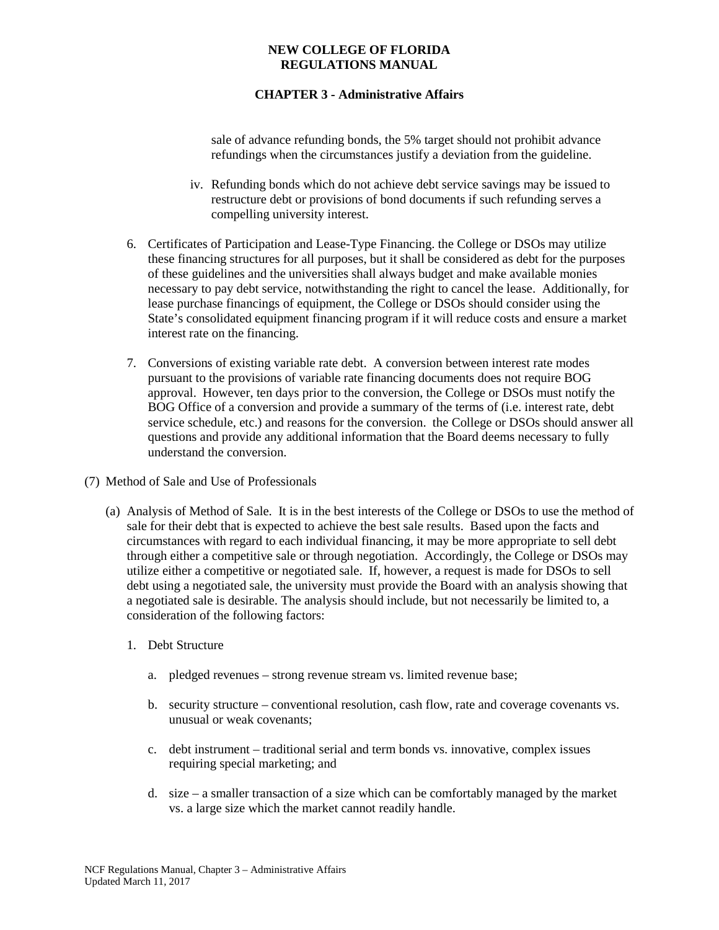# **CHAPTER 3 - Administrative Affairs**

sale of advance refunding bonds, the 5% target should not prohibit advance refundings when the circumstances justify a deviation from the guideline.

- iv. Refunding bonds which do not achieve debt service savings may be issued to restructure debt or provisions of bond documents if such refunding serves a compelling university interest.
- 6. Certificates of Participation and Lease-Type Financing. the College or DSOs may utilize these financing structures for all purposes, but it shall be considered as debt for the purposes of these guidelines and the universities shall always budget and make available monies necessary to pay debt service, notwithstanding the right to cancel the lease. Additionally, for lease purchase financings of equipment, the College or DSOs should consider using the State's consolidated equipment financing program if it will reduce costs and ensure a market interest rate on the financing.
- 7. Conversions of existing variable rate debt. A conversion between interest rate modes pursuant to the provisions of variable rate financing documents does not require BOG approval. However, ten days prior to the conversion, the College or DSOs must notify the BOG Office of a conversion and provide a summary of the terms of (i.e. interest rate, debt service schedule, etc.) and reasons for the conversion. the College or DSOs should answer all questions and provide any additional information that the Board deems necessary to fully understand the conversion.
- (7) Method of Sale and Use of Professionals
	- (a) Analysis of Method of Sale. It is in the best interests of the College or DSOs to use the method of sale for their debt that is expected to achieve the best sale results. Based upon the facts and circumstances with regard to each individual financing, it may be more appropriate to sell debt through either a competitive sale or through negotiation. Accordingly, the College or DSOs may utilize either a competitive or negotiated sale. If, however, a request is made for DSOs to sell debt using a negotiated sale, the university must provide the Board with an analysis showing that a negotiated sale is desirable. The analysis should include, but not necessarily be limited to, a consideration of the following factors:
		- 1. Debt Structure
			- a. pledged revenues strong revenue stream vs. limited revenue base;
			- b. security structure conventional resolution, cash flow, rate and coverage covenants vs. unusual or weak covenants;
			- c. debt instrument traditional serial and term bonds vs. innovative, complex issues requiring special marketing; and
			- d. size a smaller transaction of a size which can be comfortably managed by the market vs. a large size which the market cannot readily handle.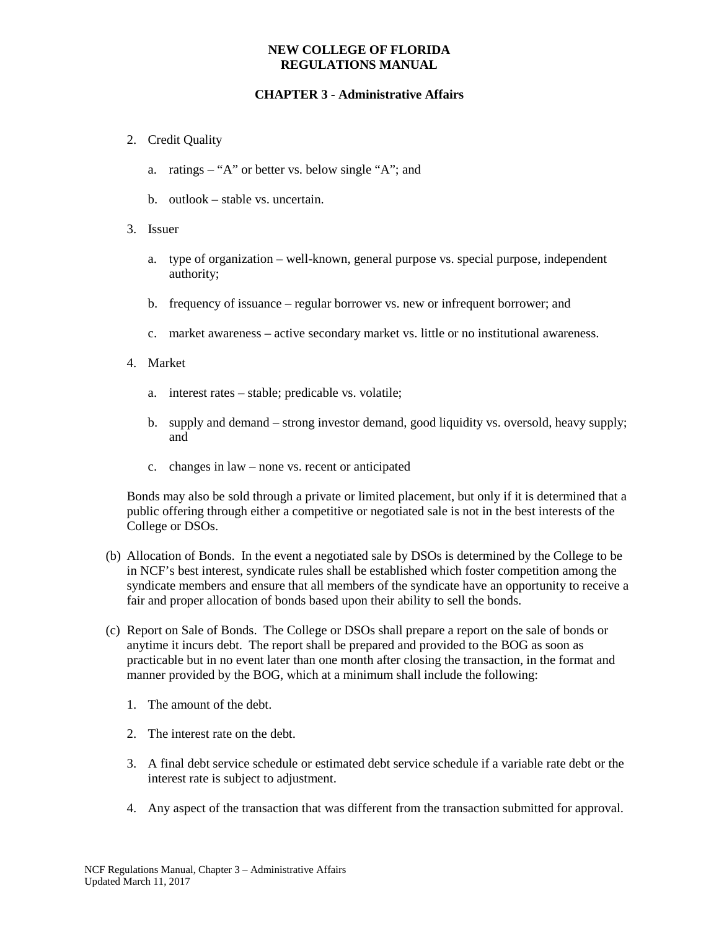# **CHAPTER 3 - Administrative Affairs**

- 2. Credit Quality
	- a. ratings "A" or better vs. below single "A"; and
	- b. outlook stable vs. uncertain.
- 3. Issuer
	- a. type of organization well-known, general purpose vs. special purpose, independent authority;
	- b. frequency of issuance regular borrower vs. new or infrequent borrower; and
	- c. market awareness active secondary market vs. little or no institutional awareness.
- 4. Market
	- a. interest rates stable; predicable vs. volatile;
	- b. supply and demand strong investor demand, good liquidity vs. oversold, heavy supply; and
	- c. changes in law none vs. recent or anticipated

Bonds may also be sold through a private or limited placement, but only if it is determined that a public offering through either a competitive or negotiated sale is not in the best interests of the College or DSOs.

- (b) Allocation of Bonds. In the event a negotiated sale by DSOs is determined by the College to be in NCF's best interest, syndicate rules shall be established which foster competition among the syndicate members and ensure that all members of the syndicate have an opportunity to receive a fair and proper allocation of bonds based upon their ability to sell the bonds.
- (c) Report on Sale of Bonds. The College or DSOs shall prepare a report on the sale of bonds or anytime it incurs debt. The report shall be prepared and provided to the BOG as soon as practicable but in no event later than one month after closing the transaction, in the format and manner provided by the BOG, which at a minimum shall include the following:
	- 1. The amount of the debt.
	- 2. The interest rate on the debt.
	- 3. A final debt service schedule or estimated debt service schedule if a variable rate debt or the interest rate is subject to adjustment.
	- 4. Any aspect of the transaction that was different from the transaction submitted for approval.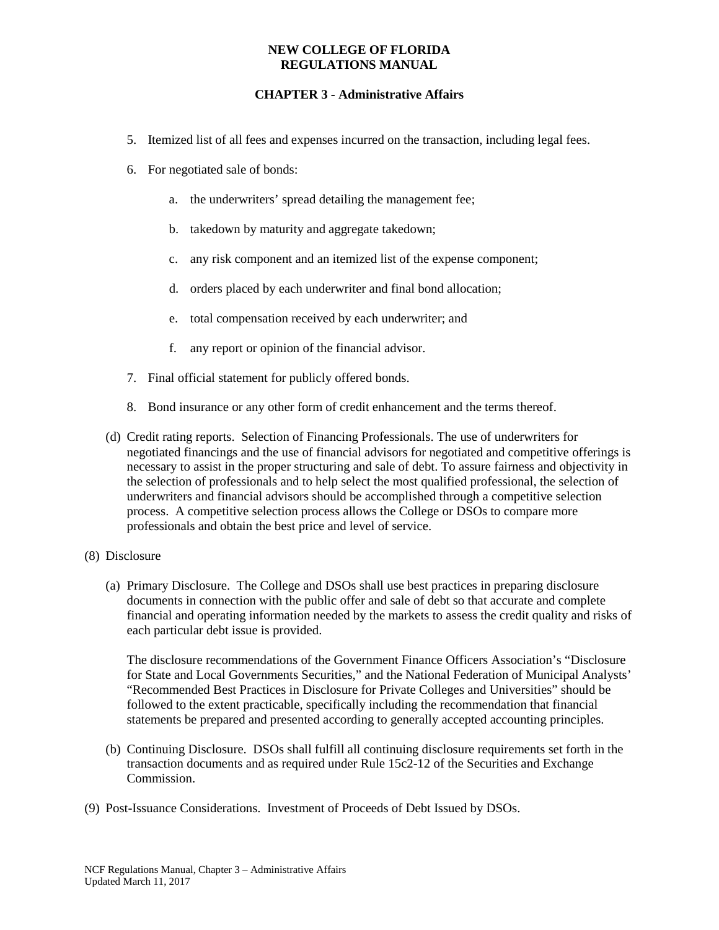# **CHAPTER 3 - Administrative Affairs**

- 5. Itemized list of all fees and expenses incurred on the transaction, including legal fees.
- 6. For negotiated sale of bonds:
	- a. the underwriters' spread detailing the management fee;
	- b. takedown by maturity and aggregate takedown;
	- c. any risk component and an itemized list of the expense component;
	- d. orders placed by each underwriter and final bond allocation;
	- e. total compensation received by each underwriter; and
	- f. any report or opinion of the financial advisor.
- 7. Final official statement for publicly offered bonds.
- 8. Bond insurance or any other form of credit enhancement and the terms thereof.
- (d) Credit rating reports. Selection of Financing Professionals. The use of underwriters for negotiated financings and the use of financial advisors for negotiated and competitive offerings is necessary to assist in the proper structuring and sale of debt. To assure fairness and objectivity in the selection of professionals and to help select the most qualified professional, the selection of underwriters and financial advisors should be accomplished through a competitive selection process. A competitive selection process allows the College or DSOs to compare more professionals and obtain the best price and level of service.
- (8) Disclosure
	- (a) Primary Disclosure. The College and DSOs shall use best practices in preparing disclosure documents in connection with the public offer and sale of debt so that accurate and complete financial and operating information needed by the markets to assess the credit quality and risks of each particular debt issue is provided.

The disclosure recommendations of the Government Finance Officers Association's "Disclosure for State and Local Governments Securities," and the National Federation of Municipal Analysts' "Recommended Best Practices in Disclosure for Private Colleges and Universities" should be followed to the extent practicable, specifically including the recommendation that financial statements be prepared and presented according to generally accepted accounting principles.

- (b) Continuing Disclosure. DSOs shall fulfill all continuing disclosure requirements set forth in the transaction documents and as required under Rule 15c2-12 of the Securities and Exchange Commission.
- (9) Post-Issuance Considerations. Investment of Proceeds of Debt Issued by DSOs.